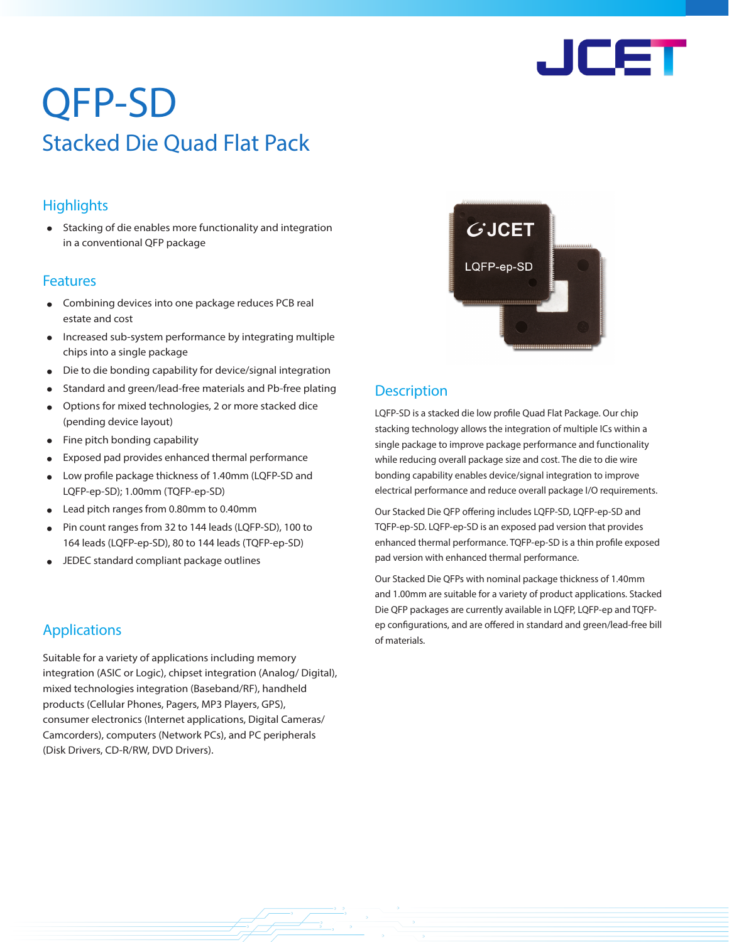

# QFP-SD Stacked Die Quad Flat Pack

### **Highlights**

• Stacking of die enables more functionality and integration in a conventional QFP package

#### Features

- Combining devices into one package reduces PCB real estate and cost
- Increased sub-system performance by integrating multiple chips into a single package
- Die to die bonding capability for device/signal integration
- Standard and green/lead-free materials and Pb-free plating
- Options for mixed technologies, 2 or more stacked dice (pending device layout)
- Fine pitch bonding capability
- Exposed pad provides enhanced thermal performance
- Low profile package thickness of 1.40mm (LQFP-SD and LQFP-ep-SD); 1.00mm (TQFP-ep-SD)
- Lead pitch ranges from 0.80mm to 0.40mm
- Pin count ranges from 32 to 144 leads (LQFP-SD), 100 to 164 leads (LQFP-ep-SD), 80 to 144 leads (TQFP-ep-SD)
- JEDEC standard compliant package outlines

# Applications entries and the material of materials.

Suitable for a variety of applications including memory integration (ASIC or Logic), chipset integration (Analog/ Digital), mixed technologies integration (Baseband/RF), handheld products (Cellular Phones, Pagers, MP3 Players, GPS), consumer electronics (Internet applications, Digital Cameras/ Camcorders), computers (Network PCs), and PC peripherals (Disk Drivers, CD-R/RW, DVD Drivers).



## **Description**

LQFP-SD is a stacked die low profile Quad Flat Package. Our chip stacking technology allows the integration of multiple ICs within a single package to improve package performance and functionality while reducing overall package size and cost. The die to die wire bonding capability enables device/signal integration to improve electrical performance and reduce overall package I/O requirements.

Our Stacked Die QFP offering includes LQFP-SD, LQFP-ep-SD and TQFP-ep-SD. LQFP-ep-SD is an exposed pad version that provides enhanced thermal performance. TQFP-ep-SD is a thin profile exposed pad version with enhanced thermal performance.

Our Stacked Die QFPs with nominal package thickness of 1.40mm and 1.00mm are suitable for a variety of product applications. Stacked Die QFP packages are currently available in LQFP, LQFP-ep and TQFPep configurations, and are offered in standard and green/lead-free bill